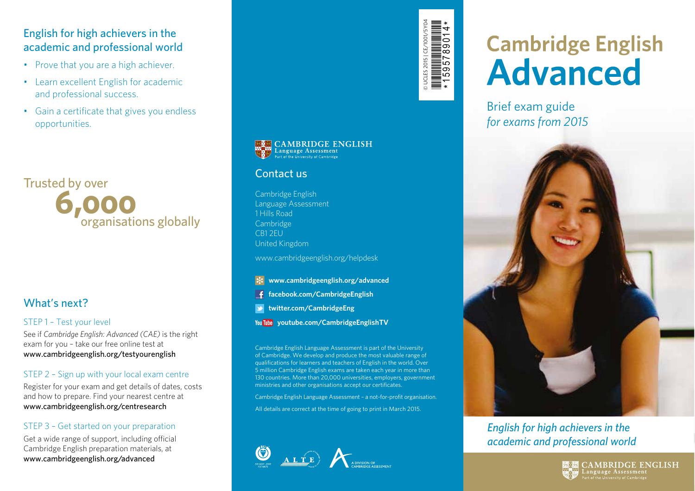## English for high achievers in the academic and professional world

- Prove that you are a high achiever.
- Learn excellent English for academic and professional success.
- Gain a certificate that gives you endless opportunities.



# What's next?

#### STEP 1 – Test your level

See if *Cambridge English: Advanced (CAE)* is the right exam for you – take our free online test at www.cambridgeenglish.org/testyourenglish

#### STEP 2 – Sign up with your local exam centre

Register for your exam and get details of dates, costs and how to prepare. Find your nearest centre at www.cambridgeenglish.org/centresearch

#### STEP 3 – Get started on your preparation

Get a wide range of support, including official Cambridge English preparation materials, at www.cambridgeenglish.org/advanced



© UCLES 2015 | CE/1001/5Y04 \*1595789014\*

**ES CAMBRIDGE ENGLISH** 

#### Contact us

Cambridge English Language Assessment 1 Hills Road Cambridge CB1 2EU United Kingdom

www.cambridgeenglish.org/helpdesk

#### **www.cambridgeenglish.org/advanced**  $\mathbf{\ast}$

- **facebook.com/CambridgeEnglish**
- **twitter.com/CambridgeEng**
- **youtube.com/CambridgeEnglishTV**

Cambridge English Language Assessment is part of the University of Cambridge. We develop and produce the most valuable range of qualifications for learners and teachers of English in the world. Over 5 million Cambridge English exams are taken each year in more than 130 countries. More than 20,000 universities, employers, government ministries and other organisations accept our certificates.

Cambridge English Language Assessment – a not-for-profit organisation.

All details are correct at the time of going to print in March 2015.



# **Cambridge English Advanced**

Brief exam guide *for exams from 2015*



# *English for high achievers in the academic and professional world*